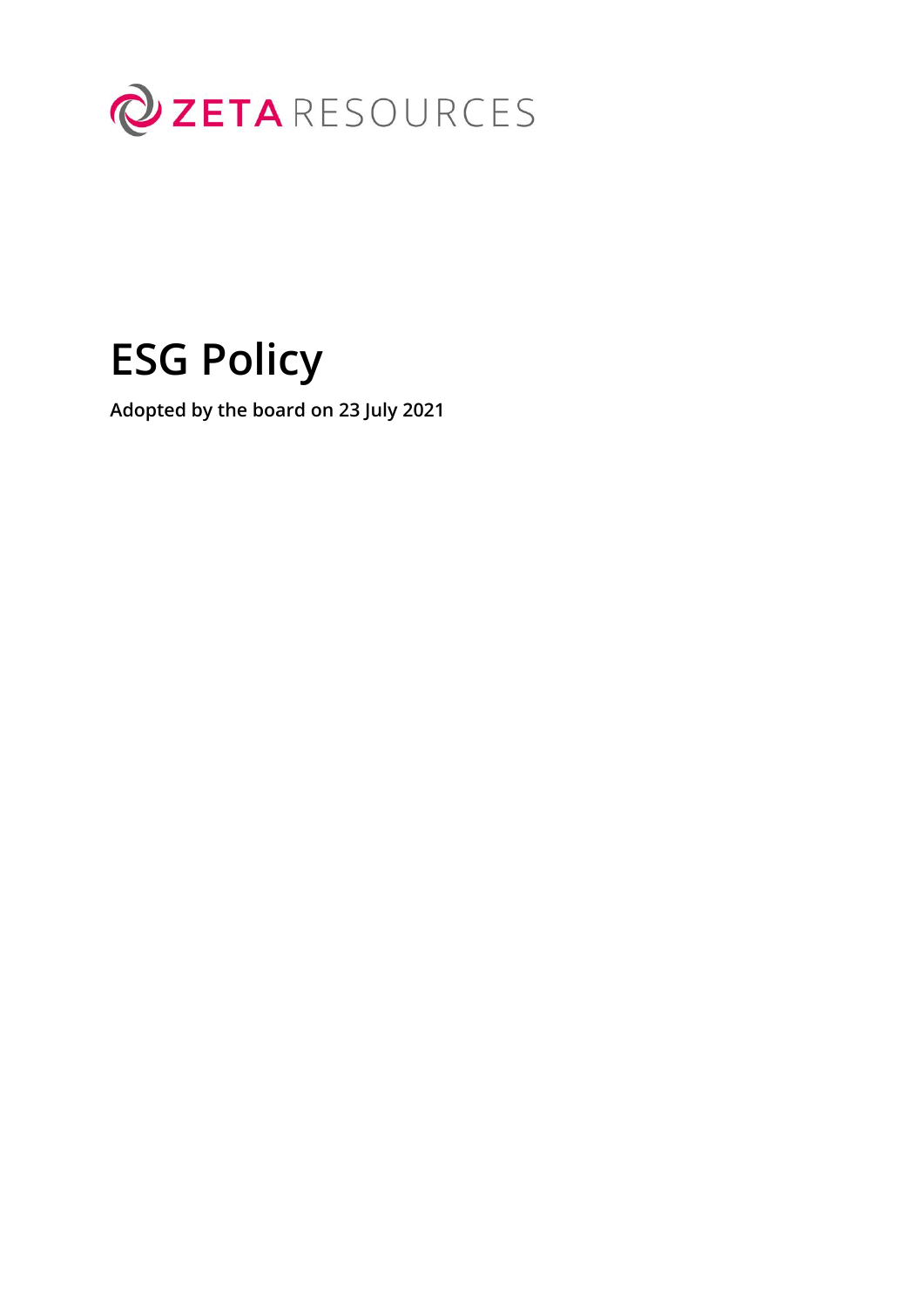

# **ESG Policy**

**Adopted by the board on 23 July 2021**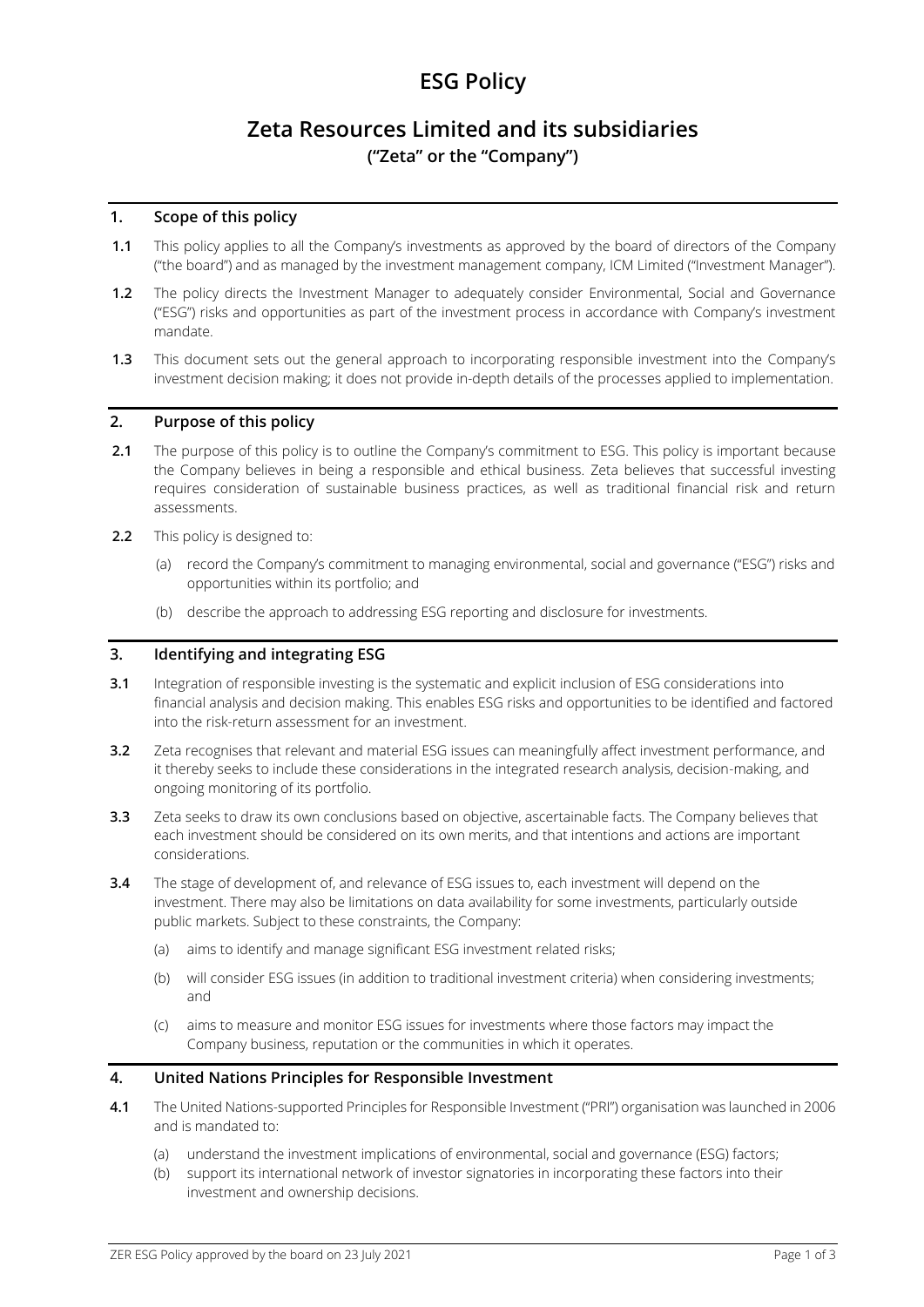## **ESG Policy**

### **Zeta Resources Limited and its subsidiaries ("Zeta" or the "Company")**

#### **1. Scope of this policy**

- **1.1** This policy applies to all the Company's investments as approved by the board of directors of the Company ("the board") and as managed by the investment management company, ICM Limited ("Investment Manager").
- **1.2** The policy directs the Investment Manager to adequately consider Environmental, Social and Governance ("ESG") risks and opportunities as part of the investment process in accordance with Company's investment mandate.
- **1.3** This document sets out the general approach to incorporating responsible investment into the Company's investment decision making; it does not provide in-depth details of the processes applied to implementation.

#### **2. Purpose of this policy**

- **2.1** The purpose of this policy is to outline the Company's commitment to ESG. This policy is important because the Company believes in being a responsible and ethical business. Zeta believes that successful investing requires consideration of sustainable business practices, as well as traditional financial risk and return assessments.
- **2.2** This policy is designed to:
	- (a) record the Company's commitment to managing environmental, social and governance ("ESG") risks and opportunities within its portfolio; and
	- (b) describe the approach to addressing ESG reporting and disclosure for investments.

#### **3. Identifying and integrating ESG**

- **3.1** Integration of responsible investing is the systematic and explicit inclusion of ESG considerations into financial analysis and decision making. This enables ESG risks and opportunities to be identified and factored into the risk-return assessment for an investment.
- **3.2** Zeta recognises that relevant and material ESG issues can meaningfully affect investment performance, and it thereby seeks to include these considerations in the integrated research analysis, decision-making, and ongoing monitoring of its portfolio.
- **3.3** Zeta seeks to draw its own conclusions based on objective, ascertainable facts. The Company believes that each investment should be considered on its own merits, and that intentions and actions are important considerations.
- **3.4** The stage of development of, and relevance of ESG issues to, each investment will depend on the investment. There may also be limitations on data availability for some investments, particularly outside public markets. Subject to these constraints, the Company:
	- (a) aims to identify and manage significant ESG investment related risks;
	- (b) will consider ESG issues (in addition to traditional investment criteria) when considering investments; and
	- (c) aims to measure and monitor ESG issues for investments where those factors may impact the Company business, reputation or the communities in which it operates.

#### **4. United Nations Principles for Responsible Investment**

- **4.1** The United Nations-supported Principles for Responsible Investment ("PRI") organisation was launched in 2006 and is mandated to:
	- (a) understand the investment implications of environmental, social and governance (ESG) factors;
	- (b) support its international network of investor signatories in incorporating these factors into their investment and ownership decisions.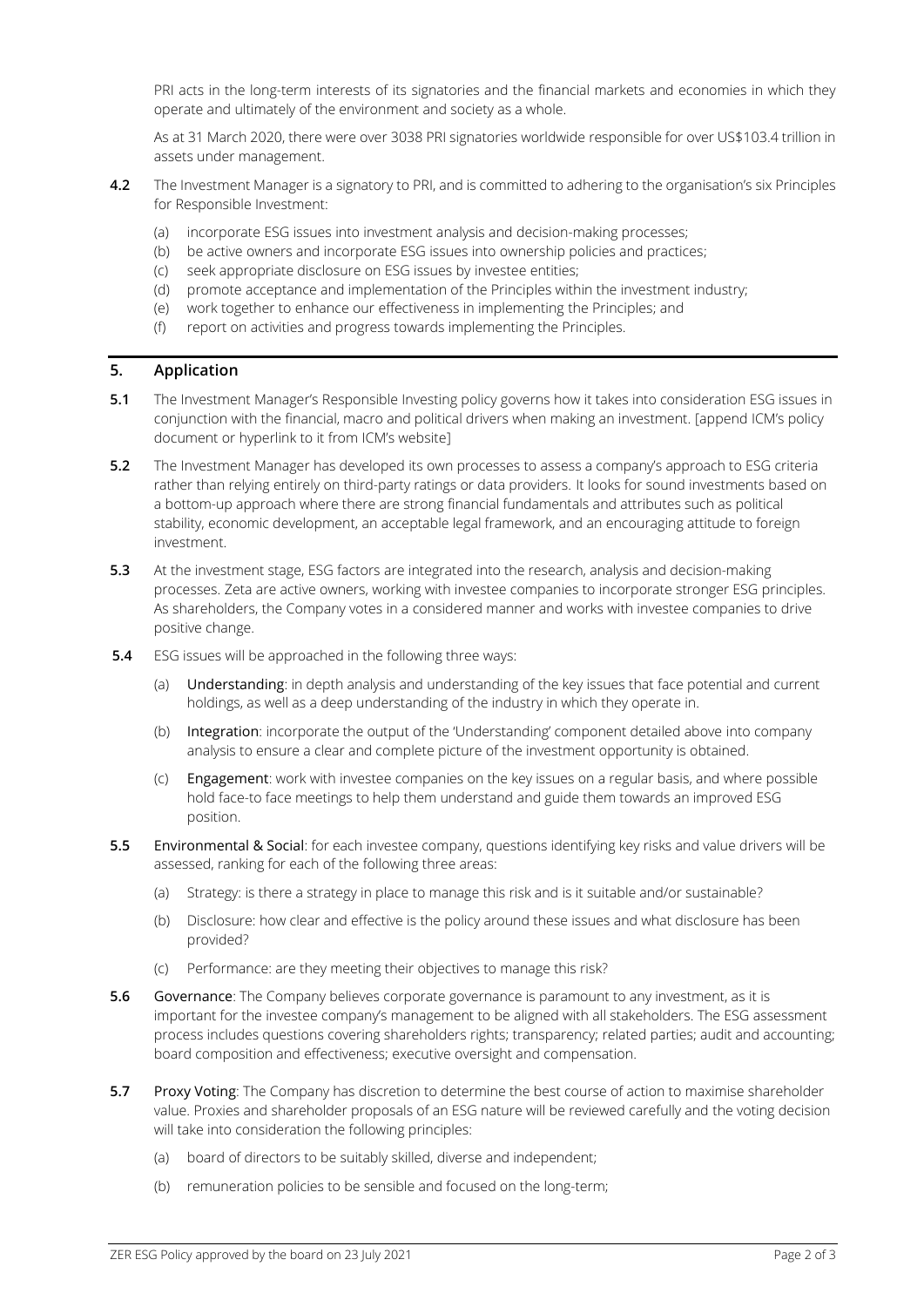PRI acts in the long-term interests of its signatories and the financial markets and economies in which they operate and ultimately of the environment and society as a whole.

As at 31 March 2020, there were over 3038 PRI signatories worldwide responsible for over US\$103.4 trillion in assets under management.

- **4.2** The Investment Manager is a signatory to PRI, and is committed to adhering to the organisation's six Principles for Responsible Investment:
	- (a) incorporate ESG issues into investment analysis and decision-making processes;
	- (b) be active owners and incorporate ESG issues into ownership policies and practices;
	- (c) seek appropriate disclosure on ESG issues by investee entities;
	- (d) promote acceptance and implementation of the Principles within the investment industry;
	- (e) work together to enhance our effectiveness in implementing the Principles; and
	- (f) report on activities and progress towards implementing the Principles.

#### **5. Application**

- **5.1** The Investment Manager's Responsible Investing policy governs how it takes into consideration ESG issues in conjunction with the financial, macro and political drivers when making an investment. [append ICM's policy document or hyperlink to it from ICM's website]
- **5.2** The Investment Manager has developed its own processes to assess a company's approach to ESG criteria rather than relying entirely on third-party ratings or data providers. It looks for sound investments based on a bottom-up approach where there are strong financial fundamentals and attributes such as political stability, economic development, an acceptable legal framework, and an encouraging attitude to foreign investment.
- **5.3** At the investment stage, ESG factors are integrated into the research, analysis and decision-making processes. Zeta are active owners, working with investee companies to incorporate stronger ESG principles. As shareholders, the Company votes in a considered manner and works with investee companies to drive positive change.
- **5.4** ESG issues will be approached in the following three ways:
	- (a) Understanding: in depth analysis and understanding of the key issues that face potential and current holdings, as well as a deep understanding of the industry in which they operate in.
	- (b) Integration: incorporate the output of the 'Understanding' component detailed above into company analysis to ensure a clear and complete picture of the investment opportunity is obtained.
	- (c) Engagement: work with investee companies on the key issues on a regular basis, and where possible hold face-to face meetings to help them understand and guide them towards an improved ESG position.
- **5.5** Environmental & Social: for each investee company, questions identifying key risks and value drivers will be assessed, ranking for each of the following three areas:
	- (a) Strategy: is there a strategy in place to manage this risk and is it suitable and/or sustainable?
	- (b) Disclosure: how clear and effective is the policy around these issues and what disclosure has been provided?
	- (c) Performance: are they meeting their objectives to manage this risk?
- **5.6** Governance: The Company believes corporate governance is paramount to any investment, as it is important for the investee company's management to be aligned with all stakeholders. The ESG assessment process includes questions covering shareholders rights; transparency; related parties; audit and accounting; board composition and effectiveness; executive oversight and compensation.
- **5.7** Proxy Voting: The Company has discretion to determine the best course of action to maximise shareholder value. Proxies and shareholder proposals of an ESG nature will be reviewed carefully and the voting decision will take into consideration the following principles:
	- (a) board of directors to be suitably skilled, diverse and independent;
	- (b) remuneration policies to be sensible and focused on the long-term;